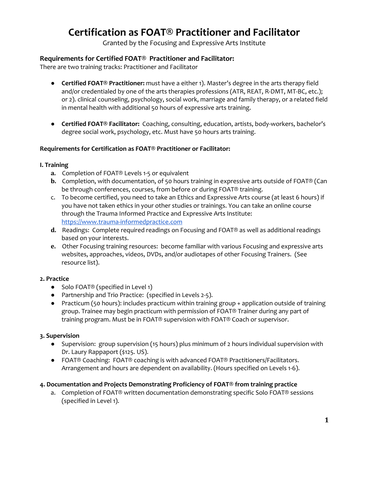# **Certification as FOAT® Practitioner and Facilitator**

Granted by the Focusing and Expressive Arts Institute

## **Requirements for Certified FOAT® Practitioner and Facilitator:**

There are two training tracks: Practitioner and Facilitator

- **Certified FOAT® Practitioner:** must have a either 1). Master's degree in the arts therapy field and/or credentialed by one of the arts therapies professions (ATR, REAT, R-DMT, MT-BC, etc.); or 2). clinical counseling, psychology, social work, marriage and family therapy, or a related field in mental health with additional 50 hours of expressive arts training.
- **Certified FOAT® Facilitator:** Coaching, consulting, education, artists, body-workers, bachelor's degree social work, psychology, etc. Must have 50 hours arts training.

#### **Requirements for Certification as FOAT® Practitioner or Facilitator:**

#### **I. Training**

- **a.** Completion of FOAT® Levels 1-5 or equivalent
- **b.** Completion, with documentation, of 50 hours training in expressive arts outside of FOAT® (Can be through conferences, courses, from before or during FOAT® training.
- c. To become certified, you need to take an Ethics and Expressive Arts course (at least 6 hours) if you have not taken ethics in your other studies or trainings. You can take an online course through the Trauma Informed Practice and Expressive Arts Institute[:](https://www.trauma-informedpractice.com/) [https://www.trauma-informedpractice.com](https://www.trauma-informedpractice.com/)
- **d.** Readings: Complete required readings on Focusing and FOAT® as well as additional readings based on your interests.
- **e.** Other Focusing training resources: become familiar with various Focusing and expressive arts websites, approaches, videos, DVDs, and/or audiotapes of other Focusing Trainers. (See resource list).

#### **2. Practice**

- Solo FOAT<sup>®</sup> (specified in Level 1)
- Partnership and Trio Practice: (specified in Levels 2-5).
- Practicum (50 hours): includes practicum within training group + application outside of training group. Trainee may begin practicum with permission of FOAT® Trainer during any part of training program. Must be in FOAT® supervision with FOAT® Coach or supervisor.

#### **3. Supervision**

- Supervision: group supervision (15 hours) plus minimum of 2 hours individual supervision with Dr. Laury Rappaport (\$125. US).
- FOAT® Coaching: FOAT® coaching is with advanced FOAT® Practitioners/Facilitators. Arrangement and hours are dependent on availability. (Hours specified on Levels 1-6).

#### **4. Documentation and Projects Demonstrating Proficiency of FOAT® from training practice**

a. Completion of FOAT® written documentation demonstrating specific Solo FOAT® sessions (specified in Level 1).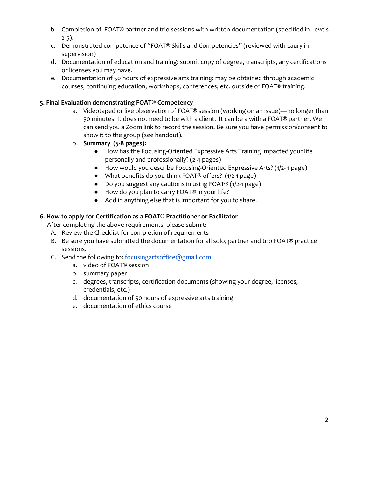- b. Completion of FOAT® partner and trio sessions with written documentation (specified in Levels 2-5).
- c. Demonstrated competence of "FOAT® Skills and Competencies" (reviewed with Laury in supervision)
- d. Documentation of education and training: submit copy of degree, transcripts, any certifications or licenses you may have.
- e. Documentation of 50 hours of expressive arts training: may be obtained through academic courses, continuing education, workshops, conferences, etc. outside of FOAT® training.

### **5. Final Evaluation demonstrating FOAT® Competency**

- a. Videotaped or live observation of FOAT® session (working on an issue)—no longer than 50 minutes. It does not need to be with a client. It can be a with a FOAT® partner. We can send you a Zoom link to record the session. Be sure you have permission/consent to show it to the group (see handout).
- b. **Summary (5-8 pages):**
	- How has the Focusing-Oriented Expressive Arts Training impacted your life personally and professionally? (2-4 pages)
	- How would you describe Focusing-Oriented Expressive Arts? (1/2- 1 page)
	- What benefits do you think FOAT® offers? (1/2-1 page)
	- Do you suggest any cautions in using FOAT® (1/2-1 page)
	- How do you plan to carry FOAT<sup>®</sup> in your life?
	- Add in anything else that is important for you to share.

#### **6. How to apply for Certification as a FOAT® Practitioner or Facilitator**

After completing the above requirements, please submit:

- A. Review the Checklist for completion of requirements
- B. Be sure you have submitted the documentation for all solo, partner and trio FOAT® practice sessions.
- C. Send the following to: [focusingartsoffice@gmail.com](mailto:focusingartsoffice@gmail.com)
	- a. video of FOAT® session
	- b. summary paper
	- c. degrees, transcripts, certification documents (showing your degree, licenses, credentials, etc.)
	- d. documentation of 50 hours of expressive arts training
	- e. documentation of ethics course